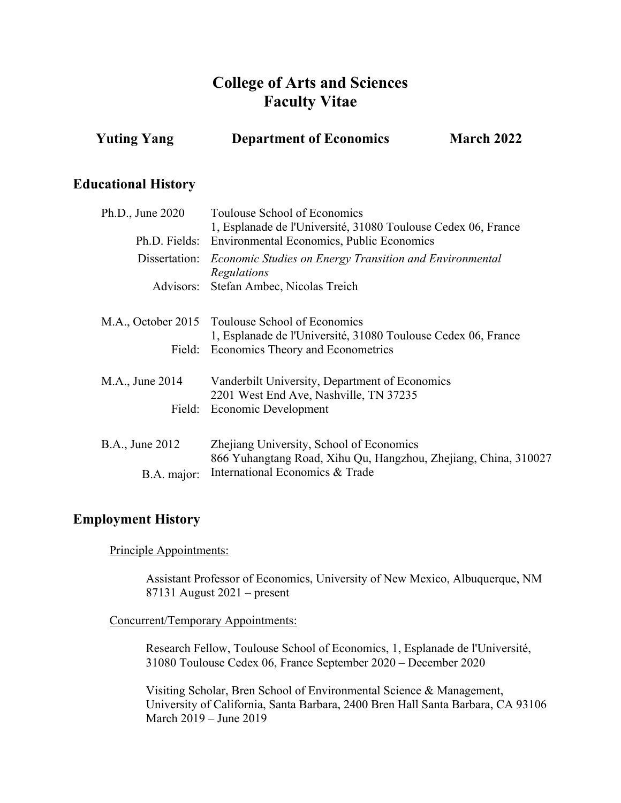# **College of Arts and Sciences Faculty Vitae**

| <b>Yuting Yang</b> | <b>Department of Economics</b> | March 2022 |
|--------------------|--------------------------------|------------|
|                    |                                |            |

### **Educational History**

| Ph.D., June 2020       | Toulouse School of Economics                                                 |  |
|------------------------|------------------------------------------------------------------------------|--|
|                        | 1, Esplanade de l'Université, 31080 Toulouse Cedex 06, France                |  |
|                        | Ph.D. Fields: Environmental Economics, Public Economics                      |  |
|                        | Dissertation: <i>Economic Studies on Energy Transition and Environmental</i> |  |
|                        | Regulations                                                                  |  |
|                        | Advisors: Stefan Ambec, Nicolas Treich                                       |  |
|                        |                                                                              |  |
|                        | M.A., October 2015 Toulouse School of Economics                              |  |
|                        | 1, Esplanade de l'Université, 31080 Toulouse Cedex 06, France                |  |
|                        | Field: Economics Theory and Econometrics                                     |  |
|                        |                                                                              |  |
| M.A., June 2014        | Vanderbilt University, Department of Economics                               |  |
|                        | 2201 West End Ave, Nashville, TN 37235                                       |  |
|                        | Field: Economic Development                                                  |  |
|                        |                                                                              |  |
| <b>B.A., June 2012</b> | Zhejiang University, School of Economics                                     |  |
|                        | 866 Yuhangtang Road, Xihu Qu, Hangzhou, Zhejiang, China, 310027              |  |
| B.A. major:            | International Economics & Trade                                              |  |
|                        |                                                                              |  |

# **Employment History**

Principle Appointments:

Assistant Professor of Economics, University of New Mexico, Albuquerque, NM 87131 August 2021 – present

#### Concurrent/Temporary Appointments:

Research Fellow, Toulouse School of Economics, 1, Esplanade de l'Université, 31080 Toulouse Cedex 06, France September 2020 – December 2020

Visiting Scholar, Bren School of Environmental Science & Management, University of California, Santa Barbara, 2400 Bren Hall Santa Barbara, CA 93106 March 2019 – June 2019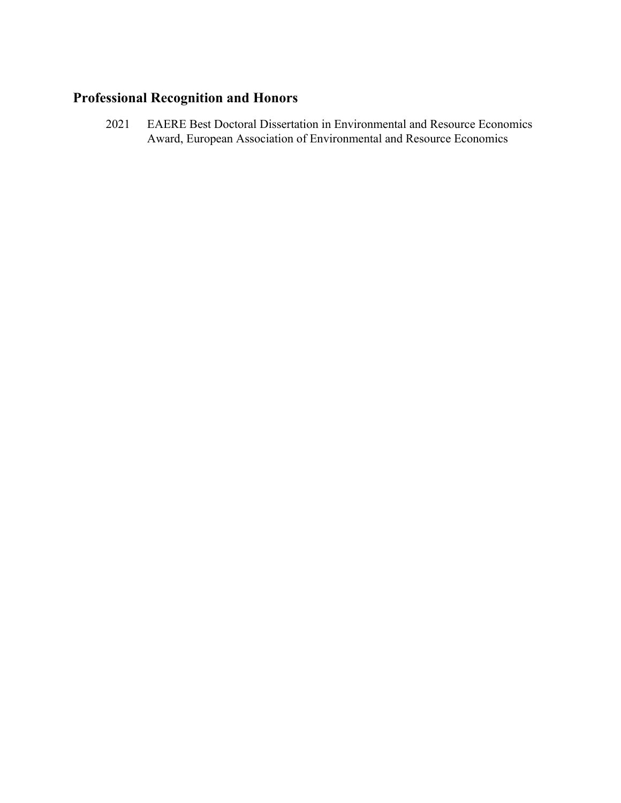# **Professional Recognition and Honors**

2021 EAERE Best Doctoral Dissertation in Environmental and Resource Economics Award, European Association of Environmental and Resource Economics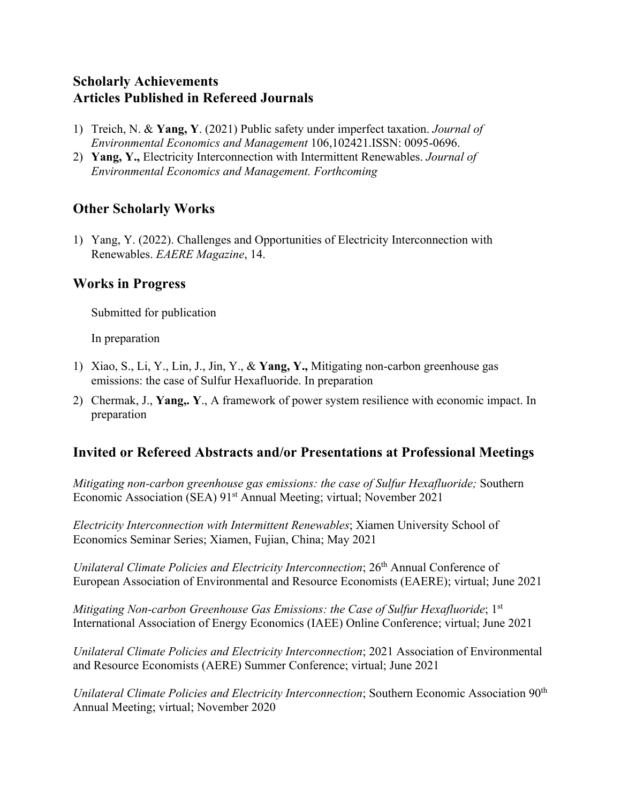# **Scholarly Achievements Articles Published in Refereed Journals**

- 1) Treich, N. & **Yang, Y**. (2021) Public safety under imperfect taxation. *Journal of Environmental Economics and Management* 106,102421.ISSN: 0095-0696.
- 2) **Yang, Y.,** Electricity Interconnection with Intermittent Renewables. *Journal of Environmental Economics and Management. Forthcoming*

# **Other Scholarly Works**

1) Yang, Y. (2022). Challenges and Opportunities of Electricity Interconnection with Renewables. *EAERE Magazine*, 14.

# **Works in Progress**

Submitted for publication

In preparation

- 1) Xiao, S., Li, Y., Lin, J., Jin, Y., & **Yang, Y.,** Mitigating non-carbon greenhouse gas emissions: the case of Sulfur Hexafluoride. In preparation
- 2) Chermak, J., **Yang,. Y**., A framework of power system resilience with economic impact. In preparation

# **Invited or Refereed Abstracts and/or Presentations at Professional Meetings**

*Mitigating non-carbon greenhouse gas emissions: the case of Sulfur Hexafluoride;* Southern Economic Association (SEA) 91st Annual Meeting; virtual; November 2021

*Electricity Interconnection with Intermittent Renewables*; Xiamen University School of Economics Seminar Series; Xiamen, Fujian, China; May 2021

*Unilateral Climate Policies and Electricity Interconnection*; 26th Annual Conference of European Association of Environmental and Resource Economists (EAERE); virtual; June 2021

*Mitigating Non-carbon Greenhouse Gas Emissions: the Case of Sulfur Hexafluoride*; 1<sup>st</sup> International Association of Energy Economics (IAEE) Online Conference; virtual; June 2021

*Unilateral Climate Policies and Electricity Interconnection*; 2021 Association of Environmental and Resource Economists (AERE) Summer Conference; virtual; June 2021

*Unilateral Climate Policies and Electricity Interconnection*; Southern Economic Association 90th Annual Meeting; virtual; November 2020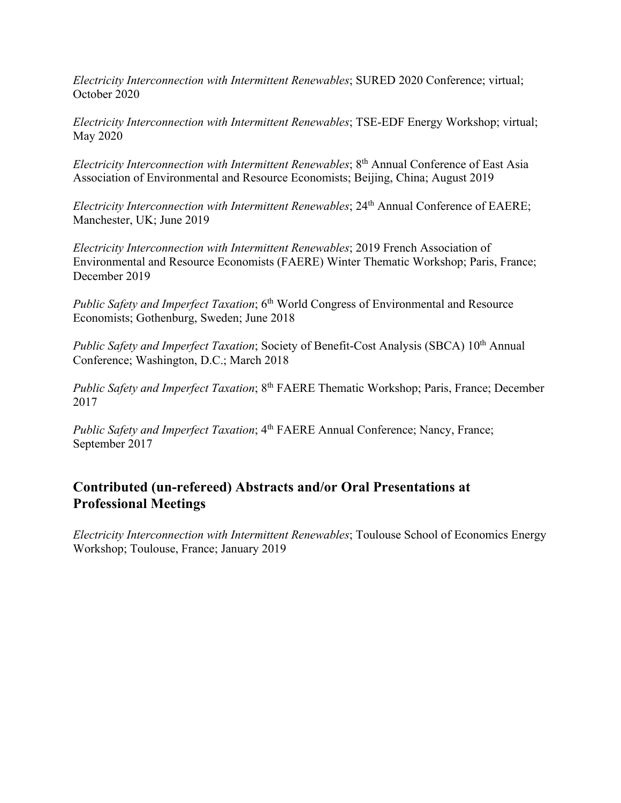*Electricity Interconnection with Intermittent Renewables*; SURED 2020 Conference; virtual; October 2020

*Electricity Interconnection with Intermittent Renewables*; TSE-EDF Energy Workshop; virtual; May 2020

*Electricity Interconnection with Intermittent Renewables*; 8th Annual Conference of East Asia Association of Environmental and Resource Economists; Beijing, China; August 2019

*Electricity Interconnection with Intermittent Renewables*; 24<sup>th</sup> Annual Conference of EAERE; Manchester, UK; June 2019

*Electricity Interconnection with Intermittent Renewables*; 2019 French Association of Environmental and Resource Economists (FAERE) Winter Thematic Workshop; Paris, France; December 2019

*Public Safety and Imperfect Taxation*; 6<sup>th</sup> World Congress of Environmental and Resource Economists; Gothenburg, Sweden; June 2018

*Public Safety and Imperfect Taxation*; Society of Benefit-Cost Analysis (SBCA) 10th Annual Conference; Washington, D.C.; March 2018

*Public Safety and Imperfect Taxation*; 8th FAERE Thematic Workshop; Paris, France; December 2017

*Public Safety and Imperfect Taxation*; 4<sup>th</sup> FAERE Annual Conference; Nancy, France; September 2017

# **Contributed (un-refereed) Abstracts and/or Oral Presentations at Professional Meetings**

*Electricity Interconnection with Intermittent Renewables*; Toulouse School of Economics Energy Workshop; Toulouse, France; January 2019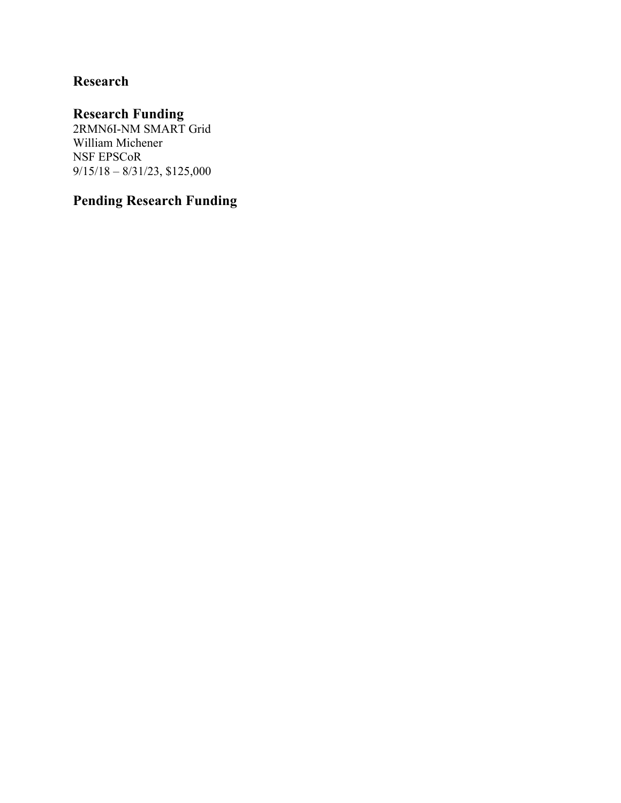# **Research**

# **Research Funding**

2RMN6I-NM SMART Grid William Michener NSF EPSCoR 9/15/18 – 8/31/23, \$125,000

# **Pending Research Funding**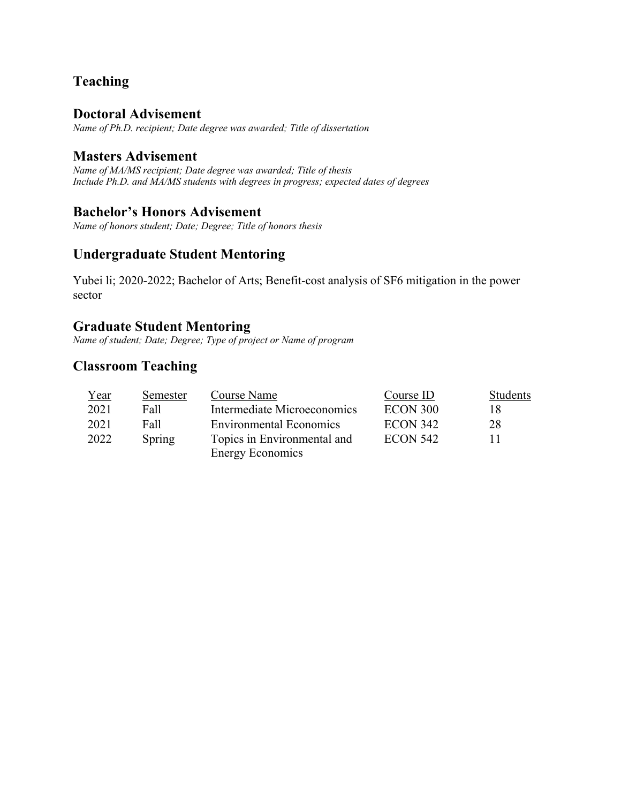# **Teaching**

### **Doctoral Advisement**

*Name of Ph.D. recipient; Date degree was awarded; Title of dissertation*

## **Masters Advisement**

*Name of MA/MS recipient; Date degree was awarded; Title of thesis Include Ph.D. and MA/MS students with degrees in progress; expected dates of degrees*

### **Bachelor's Honors Advisement**

*Name of honors student; Date; Degree; Title of honors thesis*

# **Undergraduate Student Mentoring**

Yubei li; 2020-2022; Bachelor of Arts; Benefit-cost analysis of SF6 mitigation in the power sector

# **Graduate Student Mentoring**

*Name of student; Date; Degree; Type of project or Name of program*

# **Classroom Teaching**

| Year | Semester | Course Name                    | Course ID       | <b>Students</b> |
|------|----------|--------------------------------|-----------------|-----------------|
| 2021 | Fall     | Intermediate Microeconomics    | ECON 300        | 18              |
| 2021 | Fall     | <b>Environmental Economics</b> | <b>ECON 342</b> | 28              |
| 2022 | Spring   | Topics in Environmental and    | ECON 542        |                 |
|      |          | <b>Energy Economics</b>        |                 |                 |